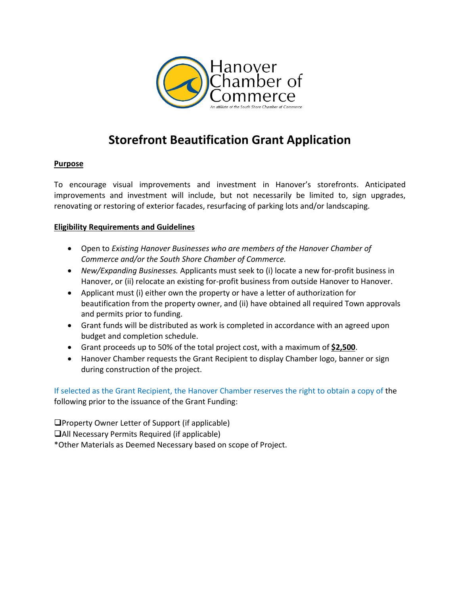

# **Storefront Beautification Grant Application**

### **Purpose**

To encourage visual improvements and investment in Hanover's storefronts. Anticipated improvements and investment will include, but not necessarily be limited to, sign upgrades, renovating or restoring of exterior facades, resurfacing of parking lots and/or landscaping.

## **Eligibility Requirements and Guidelines**

- Open to *Existing Hanover Businesses who are members of the Hanover Chamber of Commerce and/or the South Shore Chamber of Commerce.*
- *New/Expanding Businesses.* Applicants must seek to (i) locate a new for-profit business in Hanover, or (ii) relocate an existing for-profit business from outside Hanover to Hanover.
- Applicant must (i) either own the property or have a letter of authorization for beautification from the property owner, and (ii) have obtained all required Town approvals and permits prior to funding.
- Grant funds will be distributed as work is completed in accordance with an agreed upon budget and completion schedule.
- Grant proceeds up to 50% of the total project cost, with a maximum of **\$2,500**.
- Hanover Chamber requests the Grant Recipient to display Chamber logo, banner or sign during construction of the project.

If selected as the Grant Recipient, the Hanover Chamber reserves the right to obtain a copy of the following prior to the issuance of the Grant Funding:

 $\Box$ Property Owner Letter of Support (if applicable) All Necessary Permits Required (if applicable) \*Other Materials as Deemed Necessary based on scope of Project.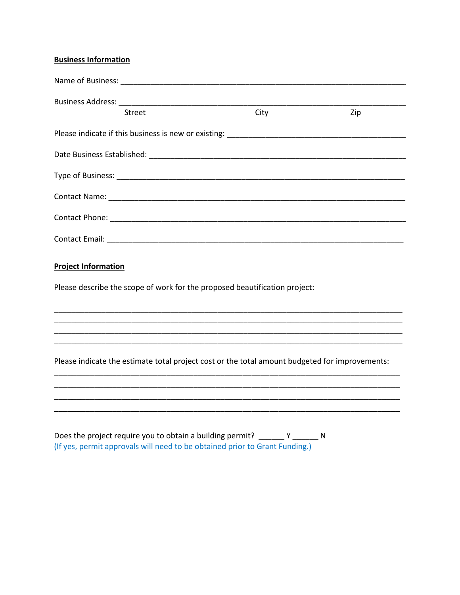# **Business Information**

| <b>Street</b>                                                                                  | City | Zip |
|------------------------------------------------------------------------------------------------|------|-----|
|                                                                                                |      |     |
|                                                                                                |      |     |
|                                                                                                |      |     |
|                                                                                                |      |     |
|                                                                                                |      |     |
|                                                                                                |      |     |
| <b>Project Information</b>                                                                     |      |     |
| Please describe the scope of work for the proposed beautification project:                     |      |     |
| ,我们也不会有什么。""我们的人,我们也不会有什么?""我们的人,我们也不会有什么?""我们的人,我们也不会有什么?""我们的人,我们也不会有什么?""我们的人               |      |     |
|                                                                                                |      |     |
| Please indicate the estimate total project cost or the total amount budgeted for improvements: |      |     |
|                                                                                                |      |     |
|                                                                                                |      |     |

Does the project require you to obtain a building permit?  $\frac{Y}{Y}$   $\frac{Y}{Y}$  N<br>(If yes, permit approvals will need to be obtained prior to Grant Funding.)